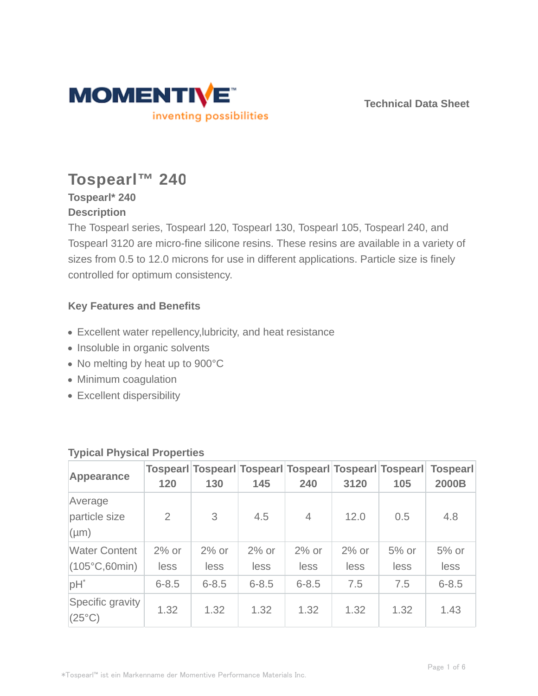

**Technical Data Sheet**

# **Tospearl™ 240**

# **Tospearl\* 240 Description**

The Tospearl series, Tospearl 120, Tospearl 130, Tospearl 105, Tospearl 240, and Tospearl 3120 are micro-fine silicone resins. These resins are available in a variety of sizes from 0.5 to 12.0 microns for use in different applications. Particle size is finely controlled for optimum consistency.

# **Key Features and Benefits**

- Excellent water repellency,lubricity, and heat resistance
- Insoluble in organic solvents
- No melting by heat up to 900°C
- Minimum coagulation
- Excellent dispersibility

| Appearance                                     | 120             | 130             | 145              | 240              | 3120            | Tospearl Tospearl Tospearl Tospearl Tospearl Tospearl<br>105 | <b>Tospearl</b><br>2000B |
|------------------------------------------------|-----------------|-----------------|------------------|------------------|-----------------|--------------------------------------------------------------|--------------------------|
| Average<br>particle size<br>$(\mu m)$          | 2               | 3               | 4.5              | $\overline{4}$   | 12.0            | 0.5                                                          | 4.8                      |
| <b>Water Content</b><br>$(105^{\circ}C,60min)$ | $2%$ or<br>less | $2%$ or<br>less | $2\%$ or<br>less | $2\%$ or<br>less | $2%$ or<br>less | $5%$ or<br>less                                              | $5%$ or<br>less          |
| $pH^*$                                         | $6 - 8.5$       | $6 - 8.5$       | $6 - 8.5$        | $6 - 8.5$        | 7.5             | 7.5                                                          | $6 - 8.5$                |
| Specific gravity<br>$(25^{\circ}C)$            | 1.32            | 1.32            | 1.32             | 1.32             | 1.32            | 1.32                                                         | 1.43                     |

# **Typical Physical Properties**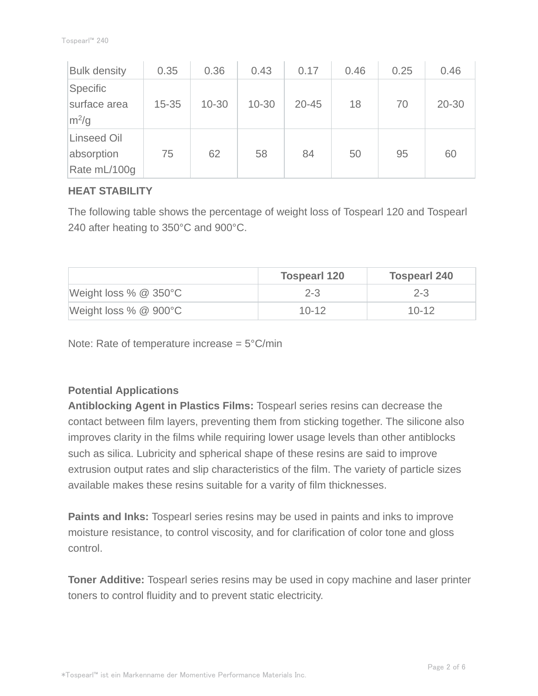| <b>Bulk density</b>                              | 0.35      | 0.36      | 0.43      | 0.17      | 0.46 | 0.25 | 0.46      |
|--------------------------------------------------|-----------|-----------|-----------|-----------|------|------|-----------|
| Specific<br>surface area<br>$m^2/g$              | $15 - 35$ | $10 - 30$ | $10 - 30$ | $20 - 45$ | 18   | 70   | $20 - 30$ |
| <b>Linseed Oil</b><br>absorption<br>Rate mL/100g | 75        | 62        | 58        | 84        | 50   | 95   | 60        |

## **HEAT STABILITY**

The following table shows the percentage of weight loss of Tospearl 120 and Tospearl 240 after heating to 350°C and 900°C.

|                                  | <b>Tospearl 120</b> | <b>Tospearl 240</b> |
|----------------------------------|---------------------|---------------------|
| Weight loss $% \& 350^{\circ}$ C | $2 - 3$             | $2 - 3$             |
| Weight loss % @ 900°C            | $10 - 12$           | $10 - 12$           |

Note: Rate of temperature increase  $= 5^{\circ}$ C/min

## **Potential Applications**

**Antiblocking Agent in Plastics Films:** Tospearl series resins can decrease the contact between film layers, preventing them from sticking together. The silicone also improves clarity in the films while requiring lower usage levels than other antiblocks such as silica. Lubricity and spherical shape of these resins are said to improve extrusion output rates and slip characteristics of the film. The variety of particle sizes available makes these resins suitable for a varity of film thicknesses.

**Paints and Inks:** Tospearl series resins may be used in paints and inks to improve moisture resistance, to control viscosity, and for clarification of color tone and gloss control.

**Toner Additive:** Tospearl series resins may be used in copy machine and laser printer toners to control fluidity and to prevent static electricity.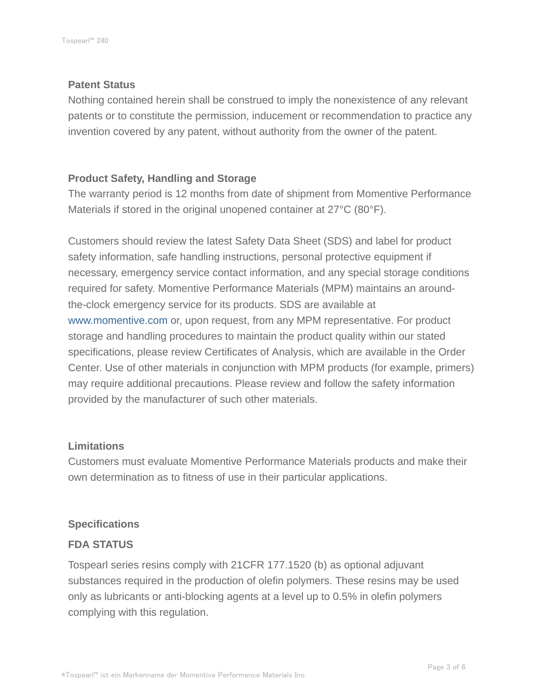#### **Patent Status**

Nothing contained herein shall be construed to imply the nonexistence of any relevant patents or to constitute the permission, inducement or recommendation to practice any invention covered by any patent, without authority from the owner of the patent.

## **Product Safety, Handling and Storage**

The warranty period is 12 months from date of shipment from Momentive Performance Materials if stored in the original unopened container at 27°C (80°F).

Customers should review the latest Safety Data Sheet (SDS) and label for product safety information, safe handling instructions, personal protective equipment if necessary, emergency service contact information, and any special storage conditions required for safety. Momentive Performance Materials (MPM) maintains an aroundthe-clock emergency service for its products. SDS are available at www.momentive.com or, upon request, from any MPM representative. For product storage and handling procedures to maintain the product quality within our stated specifications, please review Certificates of Analysis, which are available in the Order Center. Use of other materials in conjunction with MPM products (for example, primers) may require additional precautions. Please review and follow the safety information provided by the manufacturer of such other materials.

#### **Limitations**

Customers must evaluate Momentive Performance Materials products and make their own determination as to fitness of use in their particular applications.

#### **Specifications**

#### **FDA STATUS**

Tospearl series resins comply with 21CFR 177.1520 (b) as optional adjuvant substances required in the production of olefin polymers. These resins may be used only as lubricants or anti-blocking agents at a level up to 0.5% in olefin polymers complying with this regulation.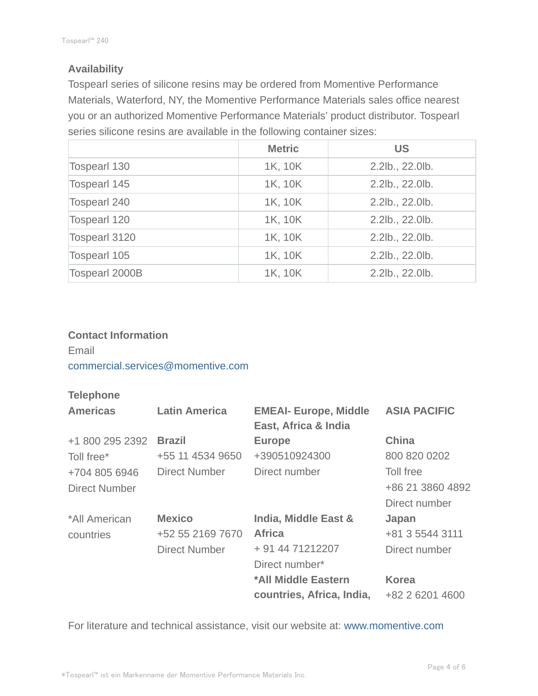# **Availability**

Tospearl series of silicone resins may be ordered from Momentive Performance Materials, Waterford, NY, the Momentive Performance Materials sales office nearest you or an authorized Momentive Performance Materials' product distributor. Tospearl series silicone resins are available in the following container sizes:

|                       | <b>Metric</b> | <b>US</b>       |
|-----------------------|---------------|-----------------|
| <b>Tospearl 130</b>   | 1K, 10K       | 2.2lb., 22.0lb. |
| <b>Tospearl 145</b>   | 1K, 10K       | 2.2lb., 22.0lb. |
| <b>Tospearl 240</b>   | 1K, 10K       | 2.2lb., 22.0lb. |
| <b>Tospearl 120</b>   | 1K, 10K       | 2.2lb., 22.0lb. |
| <b>Tospearl 3120</b>  | 1K, 10K       | 2.2lb., 22.0lb. |
| <b>Tospearl 105</b>   | 1K, 10K       | 2.2lb., 22.0lb. |
| <b>Tospearl 2000B</b> | 1K, 10K       | 2.2lb., 22.0lb. |

## **Contact Information**

Email commercial.services@momentive.com

## **Telephone**

| <b>Americas</b> | <b>Latin America</b> | <b>EMEAI- Europe, Middle</b><br>East, Africa & India | <b>ASIA PACIFIC</b> |
|-----------------|----------------------|------------------------------------------------------|---------------------|
| +1 800 295 2392 | <b>Brazil</b>        | <b>Europe</b>                                        | <b>China</b>        |
| Toll free*      | +55 11 4534 9650     | +390510924300                                        | 800 820 0202        |
| +704 805 6946   | Direct Number        | Direct number                                        | Toll free           |
| Direct Number   |                      |                                                      | +86 21 3860 4892    |
|                 |                      |                                                      | Direct number       |
| *All American   | <b>Mexico</b>        | India, Middle East &                                 | Japan               |
| countries       | +52 55 2169 7670     | <b>Africa</b>                                        | +81 3 5544 3111     |
|                 | Direct Number        | + 91 44 71212207                                     | Direct number       |
|                 |                      | Direct number*                                       |                     |
|                 |                      | *All Middle Eastern                                  | <b>Korea</b>        |
|                 |                      | countries, Africa, India,                            | +82 2 6201 4600     |

For literature and technical assistance, visit our website at: www.momentive.com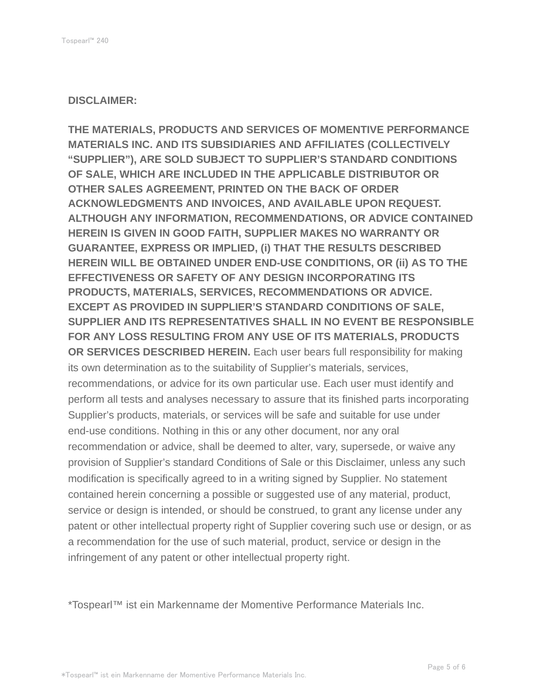#### **DISCLAIMER:**

**THE MATERIALS, PRODUCTS AND SERVICES OF MOMENTIVE PERFORMANCE MATERIALS INC. AND ITS SUBSIDIARIES AND AFFILIATES (COLLECTIVELY "SUPPLIER"), ARE SOLD SUBJECT TO SUPPLIER'S STANDARD CONDITIONS OF SALE, WHICH ARE INCLUDED IN THE APPLICABLE DISTRIBUTOR OR OTHER SALES AGREEMENT, PRINTED ON THE BACK OF ORDER ACKNOWLEDGMENTS AND INVOICES, AND AVAILABLE UPON REQUEST. ALTHOUGH ANY INFORMATION, RECOMMENDATIONS, OR ADVICE CONTAINED HEREIN IS GIVEN IN GOOD FAITH, SUPPLIER MAKES NO WARRANTY OR GUARANTEE, EXPRESS OR IMPLIED, (i) THAT THE RESULTS DESCRIBED HEREIN WILL BE OBTAINED UNDER END-USE CONDITIONS, OR (ii) AS TO THE EFFECTIVENESS OR SAFETY OF ANY DESIGN INCORPORATING ITS PRODUCTS, MATERIALS, SERVICES, RECOMMENDATIONS OR ADVICE. EXCEPT AS PROVIDED IN SUPPLIER'S STANDARD CONDITIONS OF SALE, SUPPLIER AND ITS REPRESENTATIVES SHALL IN NO EVENT BE RESPONSIBLE FOR ANY LOSS RESULTING FROM ANY USE OF ITS MATERIALS, PRODUCTS OR SERVICES DESCRIBED HEREIN.** Each user bears full responsibility for making its own determination as to the suitability of Supplier's materials, services, recommendations, or advice for its own particular use. Each user must identify and perform all tests and analyses necessary to assure that its finished parts incorporating Supplier's products, materials, or services will be safe and suitable for use under end-use conditions. Nothing in this or any other document, nor any oral recommendation or advice, shall be deemed to alter, vary, supersede, or waive any provision of Supplier's standard Conditions of Sale or this Disclaimer, unless any such modification is specifically agreed to in a writing signed by Supplier. No statement contained herein concerning a possible or suggested use of any material, product, service or design is intended, or should be construed, to grant any license under any patent or other intellectual property right of Supplier covering such use or design, or as a recommendation for the use of such material, product, service or design in the infringement of any patent or other intellectual property right.

\*Tospearl™ ist ein Markenname der Momentive Performance Materials Inc.